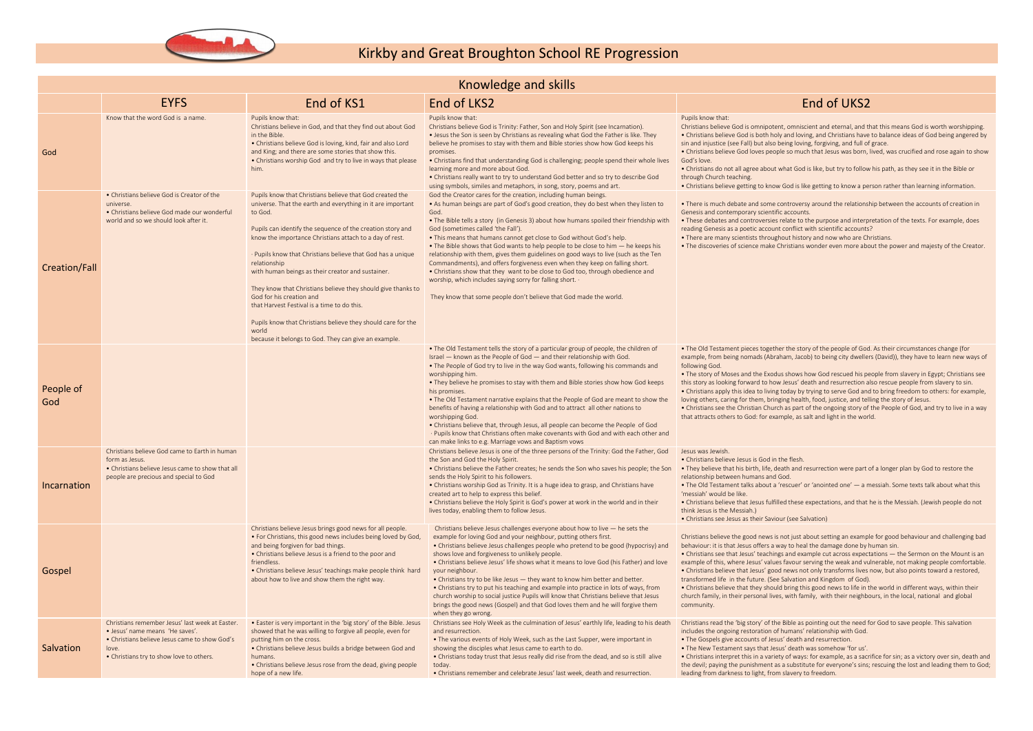

## Kirkby and Great Broughton School RE Progression

|                  | Knowledge and skills                                                                                                                                                                     |                                                                                                                                                                                                                                                                                                                                                                                                                                                                                                                                                                                                                                                                             |                                                                                                                                                                                                                                                                                                                                                                                                                                                                                                                                                                                                                                                                                                                                                                                                                                                        |                                                                                                                                                                                                                                                                                                                                                                                                                                                                                                                                                                                                                |  |  |  |  |
|------------------|------------------------------------------------------------------------------------------------------------------------------------------------------------------------------------------|-----------------------------------------------------------------------------------------------------------------------------------------------------------------------------------------------------------------------------------------------------------------------------------------------------------------------------------------------------------------------------------------------------------------------------------------------------------------------------------------------------------------------------------------------------------------------------------------------------------------------------------------------------------------------------|--------------------------------------------------------------------------------------------------------------------------------------------------------------------------------------------------------------------------------------------------------------------------------------------------------------------------------------------------------------------------------------------------------------------------------------------------------------------------------------------------------------------------------------------------------------------------------------------------------------------------------------------------------------------------------------------------------------------------------------------------------------------------------------------------------------------------------------------------------|----------------------------------------------------------------------------------------------------------------------------------------------------------------------------------------------------------------------------------------------------------------------------------------------------------------------------------------------------------------------------------------------------------------------------------------------------------------------------------------------------------------------------------------------------------------------------------------------------------------|--|--|--|--|
|                  | <b>EYFS</b>                                                                                                                                                                              | End of KS1                                                                                                                                                                                                                                                                                                                                                                                                                                                                                                                                                                                                                                                                  | End of LKS2                                                                                                                                                                                                                                                                                                                                                                                                                                                                                                                                                                                                                                                                                                                                                                                                                                            | <b>End of UKS2</b>                                                                                                                                                                                                                                                                                                                                                                                                                                                                                                                                                                                             |  |  |  |  |
| God              | Know that the word God is a name.                                                                                                                                                        | Pupils know that:<br>Christians believe in God, and that they find out about God<br>in the Bible.<br>• Christians believe God is loving, kind, fair and also Lord<br>and King; and there are some stories that show this.<br>• Christians worship God and try to live in ways that please<br>him.                                                                                                                                                                                                                                                                                                                                                                           | Pupils know that:<br>Christians believe God is Trinity: Father, Son and Holy Spirit (see Incarnation).<br>• Jesus the Son is seen by Christians as revealing what God the Father is like. They<br>believe he promises to stay with them and Bible stories show how God keeps his<br>promises.<br>• Christians find that understanding God is challenging; people spend their whole lives<br>learning more and more about God.<br>. Christians really want to try to understand God better and so try to describe God<br>using symbols, similes and metaphors, in song, story, poems and art.                                                                                                                                                                                                                                                           | Pupils know that:<br>Christians believe God is omnipotent, omniscient and eternal, and tl<br>• Christians believe God is both holy and loving, and Christians have<br>sin and injustice (see Fall) but also being loving, forgiving, and full of<br>• Christians believe God loves people so much that Jesus was born,<br>God's love.<br>• Christians do not all agree about what God is like, but try to follow<br>through Church teaching.<br>• Christians believe getting to know God is like getting to know a pe                                                                                          |  |  |  |  |
| Creation/Fall    | • Christians believe God is Creator of the<br>universe.<br>• Christians believe God made our wonderful<br>world and so we should look after it.                                          | Pupils know that Christians believe that God created the<br>universe. That the earth and everything in it are important<br>to God.<br>Pupils can identify the sequence of the creation story and<br>know the importance Christians attach to a day of rest.<br>· Pupils know that Christians believe that God has a unique<br>relationship<br>with human beings as their creator and sustainer.<br>They know that Christians believe they should give thanks to<br>God for his creation and<br>that Harvest Festival is a time to do this.<br>Pupils know that Christians believe they should care for the<br>world<br>because it belongs to God. They can give an example. | God the Creator cares for the creation, including human beings.<br>• As human beings are part of God's good creation, they do best when they listen to<br>God.<br>• The Bible tells a story (in Genesis 3) about how humans spoiled their friendship with<br>God (sometimes called 'the Fall').<br>. This means that humans cannot get close to God without God's help.<br>• The Bible shows that God wants to help people to be close to him — he keeps his<br>relationship with them, gives them guidelines on good ways to live (such as the Ten<br>Commandments), and offers forgiveness even when they keep on falling short.<br>• Christians show that they want to be close to God too, through obedience and<br>worship, which includes saying sorry for falling short. .<br>They know that some people don't believe that God made the world. | • There is much debate and some controversy around the relations<br>Genesis and contemporary scientific accounts.<br>• These debates and controversies relate to the purpose and interp<br>reading Genesis as a poetic account conflict with scientific accounts<br>• There are many scientists throughout history and now who are Ch<br>• The discoveries of science make Christians wonder even more abo                                                                                                                                                                                                     |  |  |  |  |
| People of<br>God |                                                                                                                                                                                          |                                                                                                                                                                                                                                                                                                                                                                                                                                                                                                                                                                                                                                                                             | • The Old Testament tells the story of a particular group of people, the children of<br>Israel - known as the People of God - and their relationship with God.<br>• The People of God try to live in the way God wants, following his commands and<br>worshipping him.<br>. They believe he promises to stay with them and Bible stories show how God keeps<br>his promises.<br>. The Old Testament narrative explains that the People of God are meant to show the<br>benefits of having a relationship with God and to attract all other nations to<br>worshipping God.<br>• Christians believe that, through Jesus, all people can become the People of God<br>· Pupils know that Christians often make covenants with God and with each other and<br>can make links to e.g. Marriage vows and Baptism vows                                         | • The Old Testament pieces together the story of the people of God<br>example, from being nomads (Abraham, Jacob) to being city dweller<br>following God.<br>• The story of Moses and the Exodus shows how God rescued his pe<br>this story as looking forward to how Jesus' death and resurrection a<br>• Christians apply this idea to living today by trying to serve God and<br>loving others, caring for them, bringing health, food, justice, and tel<br>• Christians see the Christian Church as part of the ongoing story of<br>that attracts others to God: for example, as salt and light in the wor |  |  |  |  |
| Incarnation      | Christians believe God came to Earth in human<br>form as Jesus.<br>• Christians believe Jesus came to show that all<br>people are precious and special to God                            |                                                                                                                                                                                                                                                                                                                                                                                                                                                                                                                                                                                                                                                                             | Christians believe Jesus is one of the three persons of the Trinity: God the Father, God<br>the Son and God the Holy Spirit.<br>. Christians believe the Father creates; he sends the Son who saves his people; the Son . They believe that his birth, life, death and resurrection were part<br>sends the Holy Spirit to his followers.<br>• Christians worship God as Trinity. It is a huge idea to grasp, and Christians have<br>created art to help to express this belief.<br>• Christians believe the Holy Spirit is God's power at work in the world and in their<br>lives today, enabling them to follow Jesus.                                                                                                                                                                                                                                | Jesus was Jewish.<br>• Christians believe Jesus is God in the flesh.<br>relationship between humans and God.<br>• The Old Testament talks about a 'rescuer' or 'anointed one' - a n<br>'messiah' would be like.<br>• Christians believe that Jesus fulfilled these expectations, and that<br>think Jesus is the Messiah.)<br>• Christians see Jesus as their Saviour (see Salvation)                                                                                                                                                                                                                           |  |  |  |  |
| Gospel           |                                                                                                                                                                                          | Christians believe Jesus brings good news for all people.<br>• For Christians, this good news includes being loved by God,<br>and being forgiven for bad things.<br>• Christians believe Jesus is a friend to the poor and<br>friendless.<br>• Christians believe Jesus' teachings make people think hard<br>about how to live and show them the right way.                                                                                                                                                                                                                                                                                                                 | Christians believe Jesus challenges everyone about how to live $-$ he sets the<br>example for loving God and your neighbour, putting others first.<br>• Christians believe Jesus challenges people who pretend to be good (hypocrisy) and<br>shows love and forgiveness to unlikely people.<br>. Christians believe Jesus' life shows what it means to love God (his Father) and love<br>your neighbour.<br>• Christians try to be like Jesus - they want to know him better and better.<br>• Christians try to put his teaching and example into practice in lots of ways, from<br>church worship to social justice Pupils will know that Christians believe that Jesus<br>brings the good news (Gospel) and that God loves them and he will forgive them<br>when they go wrong.                                                                      | Christians believe the good news is not just about setting an examp<br>behaviour: it is that Jesus offers a way to heal the damage done by I<br>• Christians see that Jesus' teachings and example cut across expect<br>example of this, where Jesus' values favour serving the weak and vu<br>• Christians believe that Jesus' good news not only transforms lives<br>transformed life in the future. (See Salvation and Kingdom of God)<br>• Christians believe that they should bring this good news to life in t<br>church family, in their personal lives, with family, with their neighbor<br>community. |  |  |  |  |
| Salvation        | Christians remember Jesus' last week at Easter.<br>• Jesus' name means 'He saves'.<br>• Christians believe Jesus came to show God's<br>love.<br>• Christians try to show love to others. | • Easter is very important in the 'big story' of the Bible. Jesus<br>showed that he was willing to forgive all people, even for<br>putting him on the cross.<br>• Christians believe Jesus builds a bridge between God and<br>humans.<br>• Christians believe Jesus rose from the dead, giving people<br>hope of a new life.                                                                                                                                                                                                                                                                                                                                                | Christians see Holy Week as the culmination of Jesus' earthly life, leading to his death<br>and resurrection.<br>• The various events of Holy Week, such as the Last Supper, were important in<br>showing the disciples what Jesus came to earth to do.<br>. Christians today trust that Jesus really did rise from the dead, and so is still alive<br>today.<br>• Christians remember and celebrate Jesus' last week, death and resurrection.                                                                                                                                                                                                                                                                                                                                                                                                         | Christians read the 'big story' of the Bible as pointing out the need f<br>includes the ongoing restoration of humans' relationship with God.<br>. The Gospels give accounts of Jesus' death and resurrection.<br>. The New Testament says that Jesus' death was somehow 'for us'.<br>• Christians interpret this in a variety of ways: for example, as a sacr<br>the devil; paying the punishment as a substitute for everyone's sins;<br>leading from darkness to light, from slavery to freedom.                                                                                                            |  |  |  |  |

, omniscient and eternal, and that this means God is worth worshipping. and loving, and Christians have to balance ideas of God being angered by eing loving, forgiving, and full of grace.

e so much that Jesus was born, lived, was crucified and rose again to show

 $\nu$ hat God is like, but try to follow his path, as they see it in the Bible or

God is like getting to know a person rather than learning information.

ontroversy around the relationship between the accounts of creation in decounts.

elate to the purpose and interpretation of the texts. For example, does conflict with scientific accounts?

out history and now who are Christians.

rristians wonder even more about the power and majesty of the Creator.

 $\cdot$  the story of the people of God. As their circumstances change (for am, Jacob) to being city dwellers (David)), they have to learn new ways of

shows how God rescued his people from slavery in Egypt; Christians see Jesus' death and resurrection also rescue people from slavery to sin. today by trying to serve God and to bring freedom to others: for example, ing health, food, justice, and telling the story of Jesus.

 $\overline{\mathsf{h}}$  as part of the ongoing story of the People of God, and try to live in a way ple, as salt and light in the world.

ath and resurrection were part of a longer plan by God to restore the

rescuer' or 'anointed one' — a messiah. Some texts talk about what this

ed these expectations, and that he is the Messiah. (Jewish people do not

not just about setting an example for good behaviour and challenging bad behaviour: it is damage done by human sin.

and example cut across expectations — the Sermon on the Mount is an favour serving the weak and vulnerable, not making people comfortable. news not only transforms lives now, but also points toward a restored, Salvation and Kingdom of God).

I bring this good news to life in the world in different ways, within their with family, with their neighbours, in the local, national and global

Bible as pointing out the need for God to save people. This salvation numans' relationship with God.

 $\epsilon$  of ways: for example, as a sacrifice for sin; as a victory over sin, death and a substitute for everyone's sins; rescuing the lost and leading them to God; slavery to freedom.